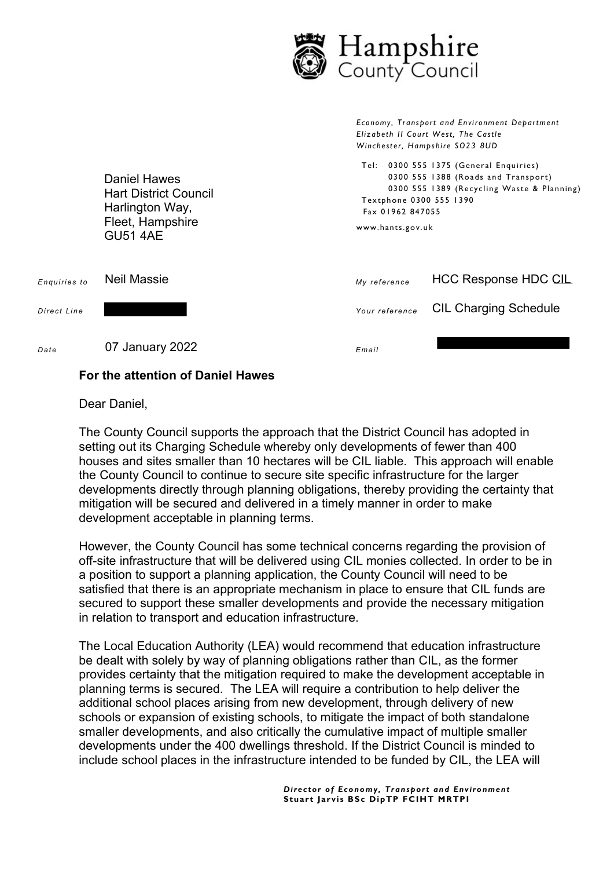

|              | Daniel Hawes<br><b>Hart District Council</b><br>Harlington Way,<br>Fleet, Hampshire<br><b>GU51 4AE</b> | Textphone 0300 555 1390<br>Fax 01962 847055<br>www.hants.gov.uk | Economy, Transport and Environment Department<br>Elizabeth II Court West, The Castle<br>Winchester, Hampshire SO23 8UD<br>Tel: 0300 555 1375 (General Enquiries)<br>0300 555 1388 (Roads and Transport)<br>0300 555 1389 (Recycling Waste & Planning) |
|--------------|--------------------------------------------------------------------------------------------------------|-----------------------------------------------------------------|-------------------------------------------------------------------------------------------------------------------------------------------------------------------------------------------------------------------------------------------------------|
| Enquiries to | <b>Neil Massie</b>                                                                                     | My reference                                                    | <b>HCC Response HDC CIL</b>                                                                                                                                                                                                                           |
| Direct Line  |                                                                                                        | Your reference                                                  | <b>CIL Charging Schedule</b>                                                                                                                                                                                                                          |
| Date         | 07 January 2022                                                                                        | Email                                                           |                                                                                                                                                                                                                                                       |

## For the attention of Daniel Hawes

Dear Daniel,

The County Council supports the approach that the District Council has adopted in setting out its Charging Schedule whereby only developments of fewer than 400 houses and sites smaller than 10 hectares will be CIL liable. This approach will enable the County Council to continue to secure site specific infrastructure for the larger developments directly through planning obligations, thereby providing the certainty that mitigation will be secured and delivered in a timely manner in order to make development acceptable in planning terms.

However, the County Council has some technical concerns regarding the provision of off-site infrastructure that will be delivered using CIL monies collected. In order to be in a position to support a planning application, the County Council will need to be satisfied that there is an appropriate mechanism in place to ensure that CIL funds are secured to support these smaller developments and provide the necessary mitigation in relation to transport and education infrastructure.

The Local Education Authority (LEA) would recommend that education infrastructure be dealt with solely by way of planning obligations rather than CIL, as the former provides certainty that the mitigation required to make the development acceptable in planning terms is secured. The LEA will require a contribution to help deliver the additional school places arising from new development, through delivery of new schools or expansion of existing schools, to mitigate the impact of both standalone smaller developments, and also critically the cumulative impact of multiple smaller developments under the 400 dwellings threshold. If the District Council is minded to include school places in the infrastructure intended to be funded by CIL, the LEA will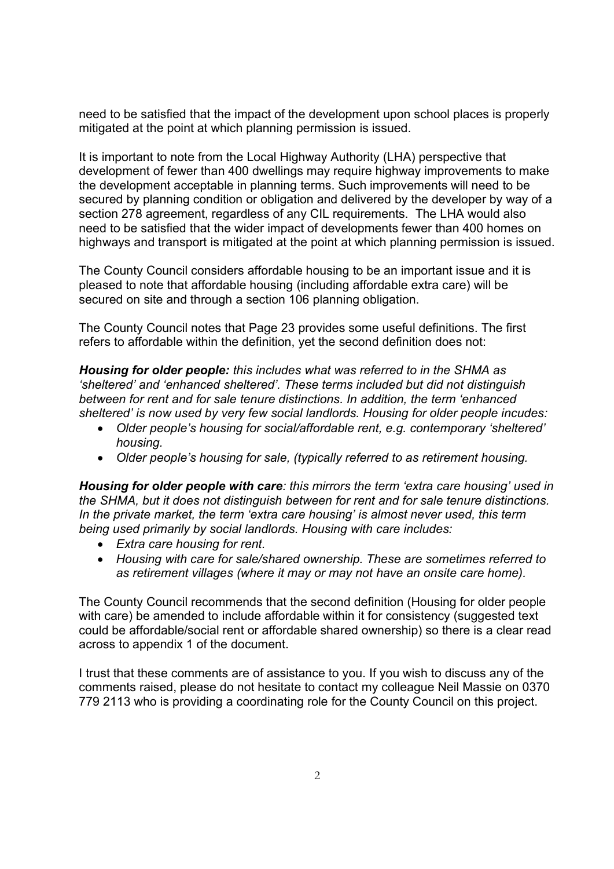need to be satisfied that the impact of the development upon school places is properly mitigated at the point at which planning permission is issued.

It is important to note from the Local Highway Authority (LHA) perspective that development of fewer than 400 dwellings may require highway improvements to make the development acceptable in planning terms. Such improvements will need to be secured by planning condition or obligation and delivered by the developer by way of a section 278 agreement, regardless of any CIL requirements. The LHA would also need to be satisfied that the wider impact of developments fewer than 400 homes on highways and transport is mitigated at the point at which planning permission is issued.

The County Council considers affordable housing to be an important issue and it is pleased to note that affordable housing (including affordable extra care) will be secured on site and through a section 106 planning obligation.

The County Council notes that Page 23 provides some useful definitions. The first refers to affordable within the definition, yet the second definition does not:

Housing for older people: this includes what was referred to in the SHMA as 'sheltered' and 'enhanced sheltered'. These terms included but did not distinguish between for rent and for sale tenure distinctions. In addition, the term 'enhanced sheltered' is now used by very few social landlords. Housing for older people incudes:

- Older people's housing for social/affordable rent, e.g. contemporary 'sheltered' housing.
- Older people's housing for sale, (typically referred to as retirement housing.

Housing for older people with care: this mirrors the term 'extra care housing' used in the SHMA, but it does not distinguish between for rent and for sale tenure distinctions. In the private market, the term 'extra care housing' is almost never used, this term being used primarily by social landlords. Housing with care includes:

- Extra care housing for rent.
- Housing with care for sale/shared ownership. These are sometimes referred to as retirement villages (where it may or may not have an onsite care home).

The County Council recommends that the second definition (Housing for older people with care) be amended to include affordable within it for consistency (suggested text could be affordable/social rent or affordable shared ownership) so there is a clear read across to appendix 1 of the document.

I trust that these comments are of assistance to you. If you wish to discuss any of the comments raised, please do not hesitate to contact my colleague Neil Massie on 0370 779 2113 who is providing a coordinating role for the County Council on this project.